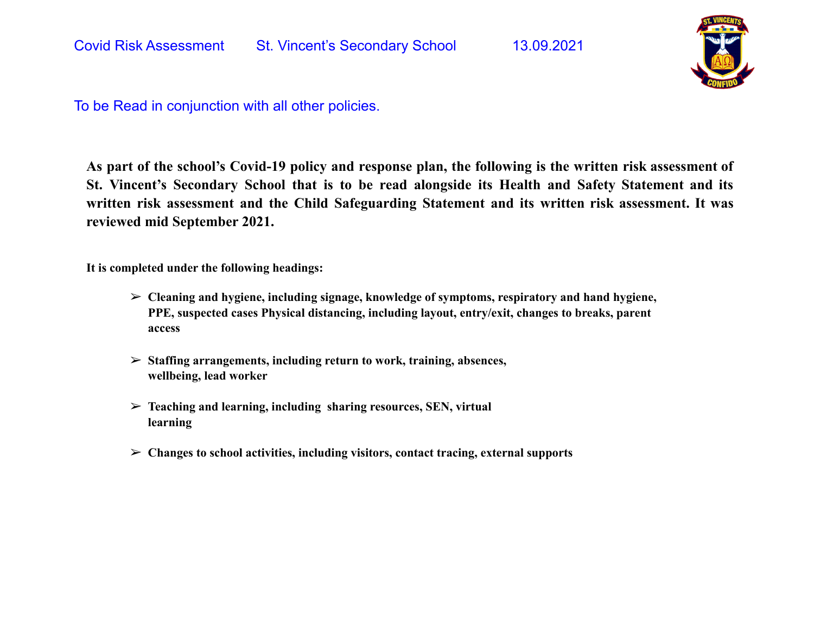

As part of the school's Covid-19 policy and response plan, the following is the written risk assessment of **St. Vincent's Secondary School that is to be read alongside its Health and Safety Statement and its written risk assessment and the Child Safeguarding Statement and its written risk assessment. It was reviewed mid September 2021.**

**It is completed under the following headings:**

- ➢ **Cleaning and hygiene, including signage, knowledge of symptoms, respiratory and hand hygiene, PPE, suspected cases Physical distancing, including layout, entry/exit, changes to breaks, parent access**
- ➢ **Staffing arrangements, including return to work, training, absences, wellbeing, lead worker**
- ➢ **Teaching and learning, including sharing resources, SEN, virtual learning**
- ➢ **Changes to school activities, including visitors, contact tracing, external supports**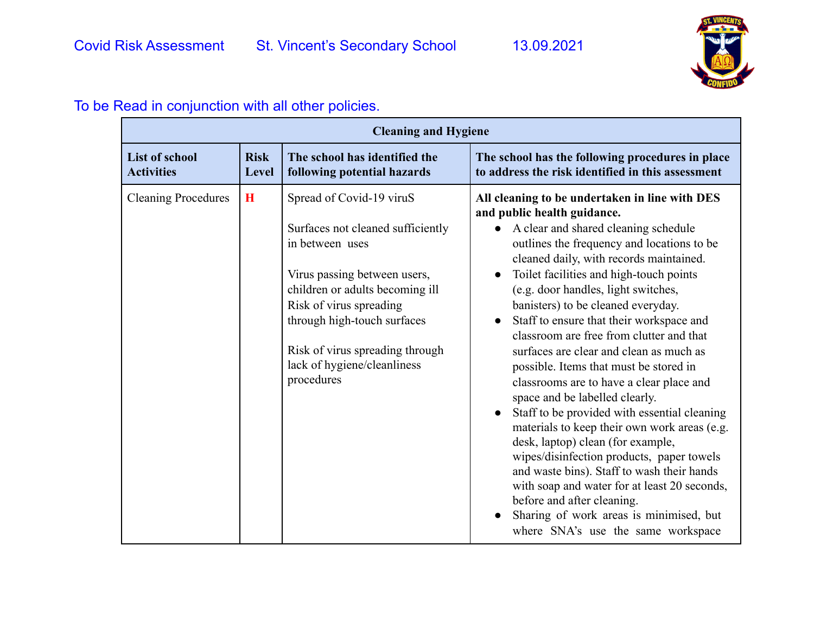

| <b>Cleaning and Hygiene</b>         |                             |                                                                                                                                                                                                                                                                                               |                                                                                                                                                                                                                                                                                                                                                                                                                                                                                                                                                                                                                                                                                                                                                                                                                                                                                                                                                                                                                              |  |
|-------------------------------------|-----------------------------|-----------------------------------------------------------------------------------------------------------------------------------------------------------------------------------------------------------------------------------------------------------------------------------------------|------------------------------------------------------------------------------------------------------------------------------------------------------------------------------------------------------------------------------------------------------------------------------------------------------------------------------------------------------------------------------------------------------------------------------------------------------------------------------------------------------------------------------------------------------------------------------------------------------------------------------------------------------------------------------------------------------------------------------------------------------------------------------------------------------------------------------------------------------------------------------------------------------------------------------------------------------------------------------------------------------------------------------|--|
| List of school<br><b>Activities</b> | <b>Risk</b><br><b>Level</b> | The school has identified the<br>following potential hazards                                                                                                                                                                                                                                  | The school has the following procedures in place<br>to address the risk identified in this assessment                                                                                                                                                                                                                                                                                                                                                                                                                                                                                                                                                                                                                                                                                                                                                                                                                                                                                                                        |  |
| <b>Cleaning Procedures</b>          | H                           | Spread of Covid-19 viruS<br>Surfaces not cleaned sufficiently<br>in between uses<br>Virus passing between users,<br>children or adults becoming ill<br>Risk of virus spreading<br>through high-touch surfaces<br>Risk of virus spreading through<br>lack of hygiene/cleanliness<br>procedures | All cleaning to be undertaken in line with DES<br>and public health guidance.<br>• A clear and shared cleaning schedule<br>outlines the frequency and locations to be<br>cleaned daily, with records maintained.<br>Toilet facilities and high-touch points<br>$\bullet$<br>(e.g. door handles, light switches,<br>banisters) to be cleaned everyday.<br>Staff to ensure that their workspace and<br>$\bullet$<br>classroom are free from clutter and that<br>surfaces are clear and clean as much as<br>possible. Items that must be stored in<br>classrooms are to have a clear place and<br>space and be labelled clearly.<br>Staff to be provided with essential cleaning<br>materials to keep their own work areas (e.g.<br>desk, laptop) clean (for example,<br>wipes/disinfection products, paper towels<br>and waste bins). Staff to wash their hands<br>with soap and water for at least 20 seconds,<br>before and after cleaning.<br>Sharing of work areas is minimised, but<br>where SNA's use the same workspace |  |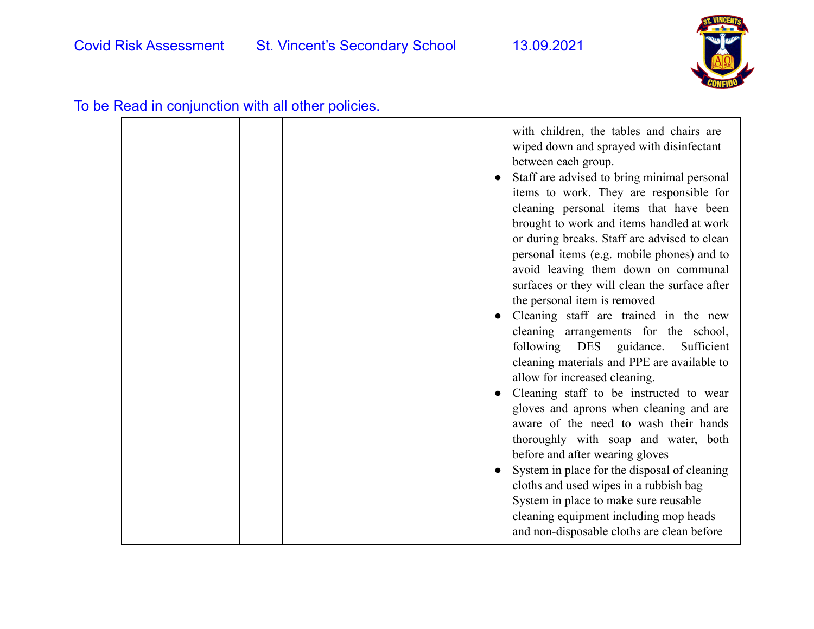

|  | with children, the tables and chairs are<br>wiped down and sprayed with disinfectant<br>between each group.<br>Staff are advised to bring minimal personal<br>items to work. They are responsible for<br>cleaning personal items that have been<br>brought to work and items handled at work<br>or during breaks. Staff are advised to clean<br>personal items (e.g. mobile phones) and to<br>avoid leaving them down on communal<br>surfaces or they will clean the surface after<br>the personal item is removed<br>Cleaning staff are trained in the new<br>cleaning arrangements for the school,<br>following DES<br>guidance.<br>Sufficient<br>cleaning materials and PPE are available to<br>allow for increased cleaning.<br>Cleaning staff to be instructed to wear<br>gloves and aprons when cleaning and are<br>aware of the need to wash their hands<br>thoroughly with soap and water, both<br>before and after wearing gloves<br>System in place for the disposal of cleaning<br>cloths and used wipes in a rubbish bag |
|--|--------------------------------------------------------------------------------------------------------------------------------------------------------------------------------------------------------------------------------------------------------------------------------------------------------------------------------------------------------------------------------------------------------------------------------------------------------------------------------------------------------------------------------------------------------------------------------------------------------------------------------------------------------------------------------------------------------------------------------------------------------------------------------------------------------------------------------------------------------------------------------------------------------------------------------------------------------------------------------------------------------------------------------------|
|  | System in place to make sure reusable<br>cleaning equipment including mop heads<br>and non-disposable cloths are clean before                                                                                                                                                                                                                                                                                                                                                                                                                                                                                                                                                                                                                                                                                                                                                                                                                                                                                                        |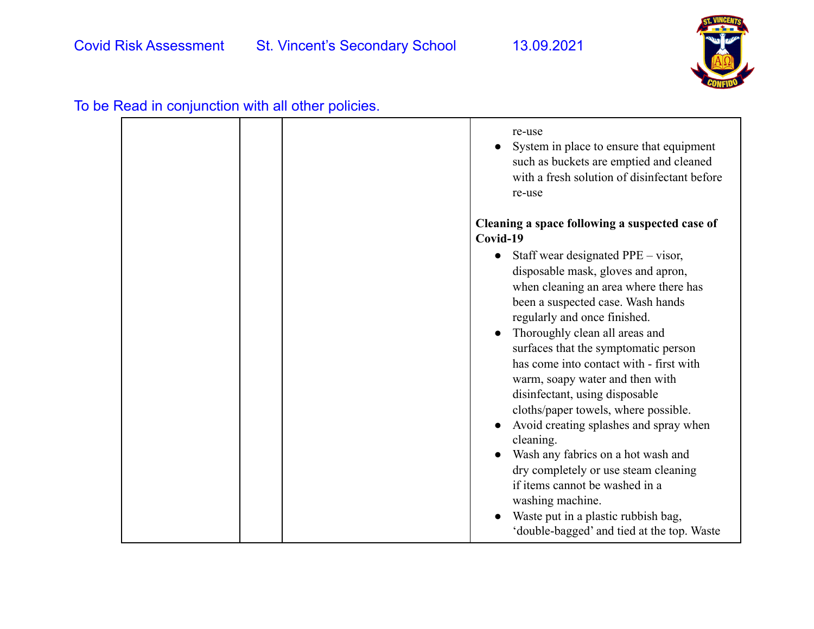

| To be Read in conjunction with all other policies. |  |  |
|----------------------------------------------------|--|--|
|----------------------------------------------------|--|--|

|  | re-use<br>System in place to ensure that equipment<br>such as buckets are emptied and cleaned<br>with a fresh solution of disinfectant before<br>re-use                                                                                                                                                                                                                                                                                                                                                                                                                                                                                                                                                                                                                |
|--|------------------------------------------------------------------------------------------------------------------------------------------------------------------------------------------------------------------------------------------------------------------------------------------------------------------------------------------------------------------------------------------------------------------------------------------------------------------------------------------------------------------------------------------------------------------------------------------------------------------------------------------------------------------------------------------------------------------------------------------------------------------------|
|  | Cleaning a space following a suspected case of<br>Covid-19<br>Staff wear designated PPE – visor,<br>disposable mask, gloves and apron,<br>when cleaning an area where there has<br>been a suspected case. Wash hands<br>regularly and once finished.<br>Thoroughly clean all areas and<br>surfaces that the symptomatic person<br>has come into contact with - first with<br>warm, soapy water and then with<br>disinfectant, using disposable<br>cloths/paper towels, where possible.<br>Avoid creating splashes and spray when<br>cleaning.<br>Wash any fabrics on a hot wash and<br>dry completely or use steam cleaning<br>if items cannot be washed in a<br>washing machine.<br>Waste put in a plastic rubbish bag,<br>'double-bagged' and tied at the top. Waste |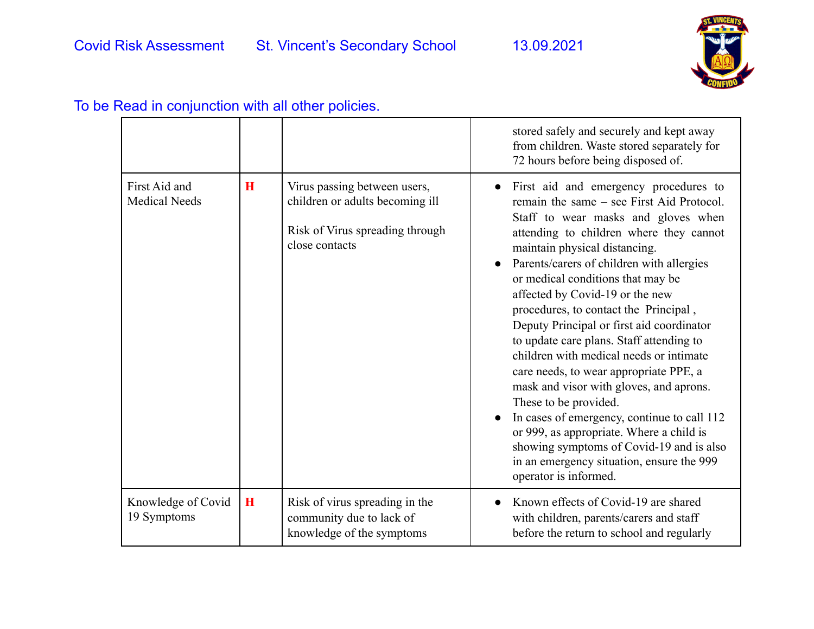

|                                       |             |                                                                                                                      | stored safely and securely and kept away<br>from children. Waste stored separately for<br>72 hours before being disposed of.                                                                                                                                                                                                                                                                                                                                                                                                                                                                                                                                                                                                                                                                                                       |
|---------------------------------------|-------------|----------------------------------------------------------------------------------------------------------------------|------------------------------------------------------------------------------------------------------------------------------------------------------------------------------------------------------------------------------------------------------------------------------------------------------------------------------------------------------------------------------------------------------------------------------------------------------------------------------------------------------------------------------------------------------------------------------------------------------------------------------------------------------------------------------------------------------------------------------------------------------------------------------------------------------------------------------------|
| First Aid and<br><b>Medical Needs</b> | $\bf{H}$    | Virus passing between users,<br>children or adults becoming ill<br>Risk of Virus spreading through<br>close contacts | First aid and emergency procedures to<br>remain the same – see First Aid Protocol.<br>Staff to wear masks and gloves when<br>attending to children where they cannot<br>maintain physical distancing.<br>Parents/carers of children with allergies<br>or medical conditions that may be<br>affected by Covid-19 or the new<br>procedures, to contact the Principal,<br>Deputy Principal or first aid coordinator<br>to update care plans. Staff attending to<br>children with medical needs or intimate<br>care needs, to wear appropriate PPE, a<br>mask and visor with gloves, and aprons.<br>These to be provided.<br>In cases of emergency, continue to call 112<br>or 999, as appropriate. Where a child is<br>showing symptoms of Covid-19 and is also<br>in an emergency situation, ensure the 999<br>operator is informed. |
| Knowledge of Covid<br>19 Symptoms     | $\mathbf H$ | Risk of virus spreading in the<br>community due to lack of<br>knowledge of the symptoms                              | Known effects of Covid-19 are shared<br>with children, parents/carers and staff<br>before the return to school and regularly                                                                                                                                                                                                                                                                                                                                                                                                                                                                                                                                                                                                                                                                                                       |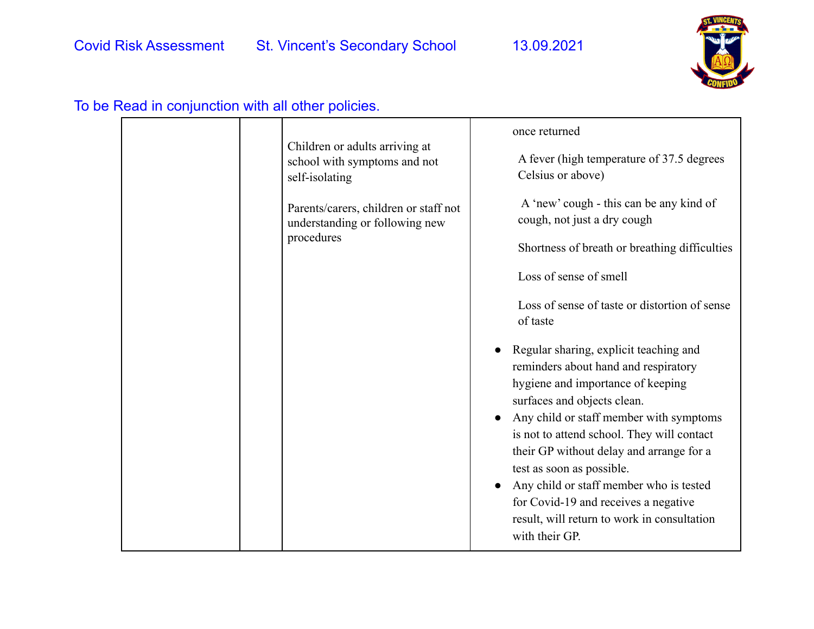

|  | Children or adults arriving at<br>school with symptoms and not<br>self-isolating<br>Parents/carers, children or staff not<br>understanding or following new<br>procedures | once returned<br>A fever (high temperature of 37.5 degrees<br>Celsius or above)<br>A 'new' cough - this can be any kind of<br>cough, not just a dry cough<br>Shortness of breath or breathing difficulties<br>Loss of sense of smell<br>Loss of sense of taste or distortion of sense<br>of taste<br>Regular sharing, explicit teaching and<br>reminders about hand and respiratory<br>hygiene and importance of keeping<br>surfaces and objects clean.<br>Any child or staff member with symptoms<br>is not to attend school. They will contact |
|--|---------------------------------------------------------------------------------------------------------------------------------------------------------------------------|--------------------------------------------------------------------------------------------------------------------------------------------------------------------------------------------------------------------------------------------------------------------------------------------------------------------------------------------------------------------------------------------------------------------------------------------------------------------------------------------------------------------------------------------------|
|  |                                                                                                                                                                           | their GP without delay and arrange for a<br>test as soon as possible.<br>Any child or staff member who is tested<br>for Covid-19 and receives a negative<br>result, will return to work in consultation<br>with their GP.                                                                                                                                                                                                                                                                                                                        |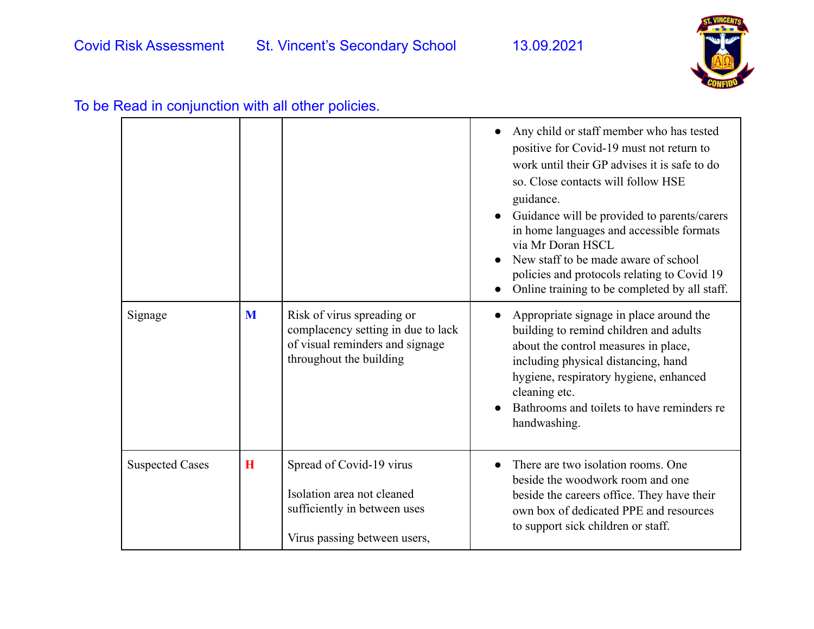

|                        |   |                                                                                                                                | Any child or staff member who has tested<br>positive for Covid-19 must not return to<br>work until their GP advises it is safe to do<br>so. Close contacts will follow HSE<br>guidance.<br>Guidance will be provided to parents/carers<br>in home languages and accessible formats<br>via Mr Doran HSCL<br>New staff to be made aware of school<br>policies and protocols relating to Covid 19<br>Online training to be completed by all staff. |
|------------------------|---|--------------------------------------------------------------------------------------------------------------------------------|-------------------------------------------------------------------------------------------------------------------------------------------------------------------------------------------------------------------------------------------------------------------------------------------------------------------------------------------------------------------------------------------------------------------------------------------------|
| Signage                | M | Risk of virus spreading or<br>complacency setting in due to lack<br>of visual reminders and signage<br>throughout the building | Appropriate signage in place around the<br>building to remind children and adults<br>about the control measures in place,<br>including physical distancing, hand<br>hygiene, respiratory hygiene, enhanced<br>cleaning etc.<br>Bathrooms and toilets to have reminders re<br>handwashing.                                                                                                                                                       |
| <b>Suspected Cases</b> | H | Spread of Covid-19 virus<br>Isolation area not cleaned<br>sufficiently in between uses<br>Virus passing between users,         | There are two isolation rooms. One<br>beside the woodwork room and one<br>beside the careers office. They have their<br>own box of dedicated PPE and resources<br>to support sick children or staff.                                                                                                                                                                                                                                            |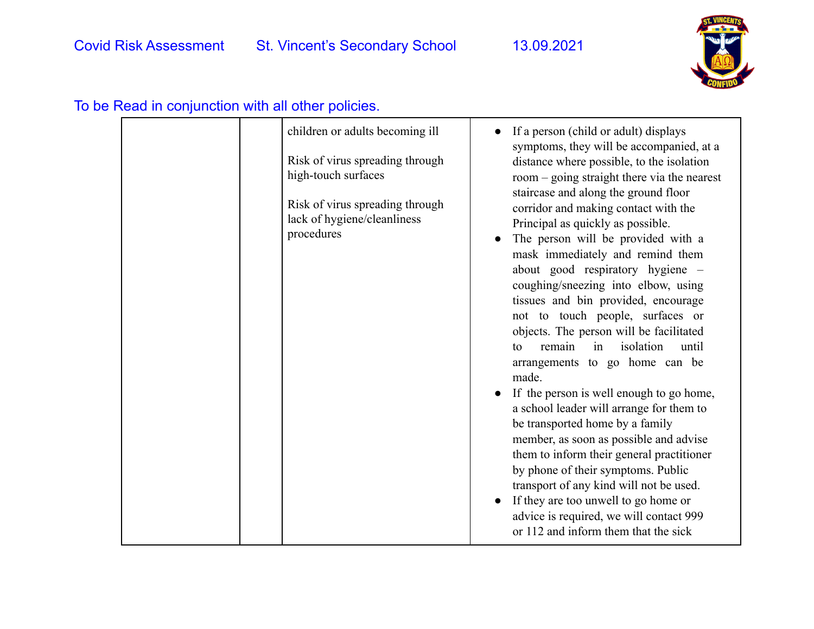

#### children or adults becoming ill Risk of virus spreading through high-touch surfaces Risk of virus spreading through lack of hygiene/cleanliness procedures ● If a person (child or adult) displays symptoms, they will be accompanied, at a distance where possible, to the isolation room – going straight there via the nearest staircase and along the ground floor corridor and making contact with the Principal as quickly as possible. The person will be provided with a mask immediately and remind them about good respiratory hygiene – coughing/sneezing into elbow, using tissues and bin provided, encourage not to touch people, surfaces or objects. The person will be facilitated to remain in isolation until arrangements to go home can be made. If the person is well enough to go home, a school leader will arrange for them to be transported home by a family member, as soon as possible and advise them to inform their general practitioner by phone of their symptoms. Public transport of any kind will not be used. ● If they are too unwell to go home or advice is required, we will contact 999 or 112 and inform them that the sick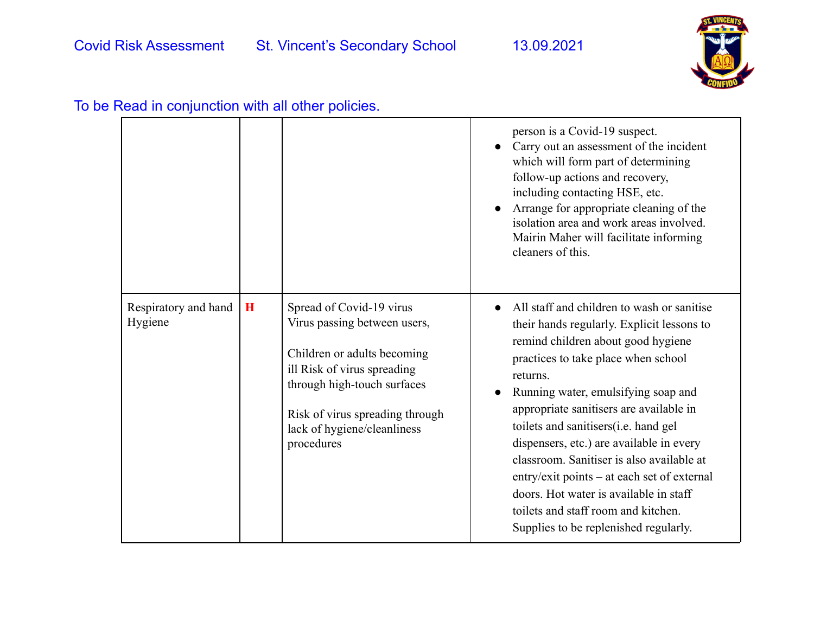

| To be Read in conjunction with all other policies. |  |  |  |
|----------------------------------------------------|--|--|--|
|----------------------------------------------------|--|--|--|

|                                 |          |                                                                                                                                                                                                                                       | person is a Covid-19 suspect.<br>Carry out an assessment of the incident<br>which will form part of determining<br>follow-up actions and recovery,<br>including contacting HSE, etc.<br>Arrange for appropriate cleaning of the<br>isolation area and work areas involved.<br>Mairin Maher will facilitate informing<br>cleaners of this.                                                                                                                                                                                                                                     |
|---------------------------------|----------|---------------------------------------------------------------------------------------------------------------------------------------------------------------------------------------------------------------------------------------|-------------------------------------------------------------------------------------------------------------------------------------------------------------------------------------------------------------------------------------------------------------------------------------------------------------------------------------------------------------------------------------------------------------------------------------------------------------------------------------------------------------------------------------------------------------------------------|
| Respiratory and hand<br>Hygiene | $\bf{H}$ | Spread of Covid-19 virus<br>Virus passing between users,<br>Children or adults becoming<br>ill Risk of virus spreading<br>through high-touch surfaces<br>Risk of virus spreading through<br>lack of hygiene/cleanliness<br>procedures | All staff and children to wash or sanitise<br>their hands regularly. Explicit lessons to<br>remind children about good hygiene<br>practices to take place when school<br>returns.<br>Running water, emulsifying soap and<br>appropriate sanitisers are available in<br>toilets and sanitisers(i.e. hand gel<br>dispensers, etc.) are available in every<br>classroom. Sanitiser is also available at<br>entry/exit points – at each set of external<br>doors. Hot water is available in staff<br>toilets and staff room and kitchen.<br>Supplies to be replenished regularly. |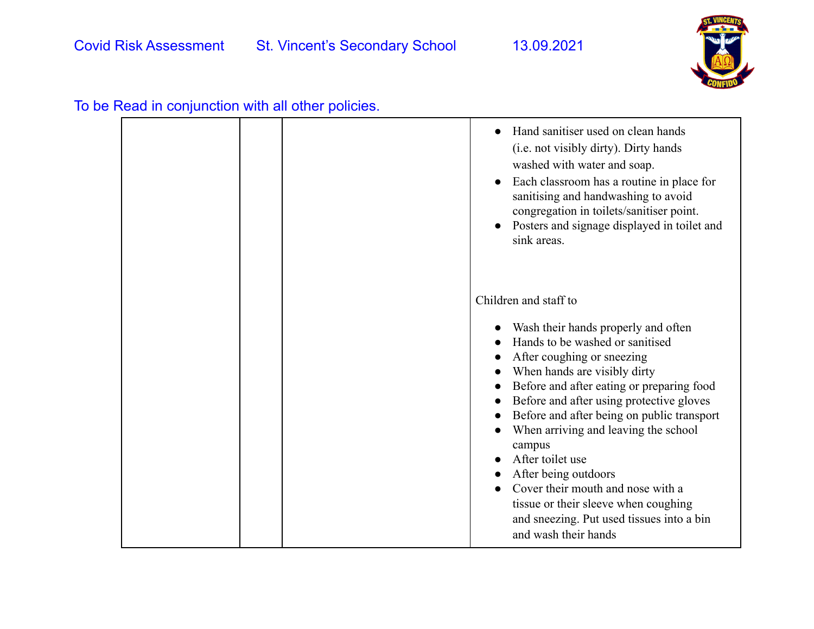

| To be Read in conjunction with all other policies. |  |  |
|----------------------------------------------------|--|--|
|----------------------------------------------------|--|--|

|  | Hand sanitiser used on clean hands<br>$\bullet$<br>(i.e. not visibly dirty). Dirty hands<br>washed with water and soap.<br>Each classroom has a routine in place for<br>sanitising and handwashing to avoid<br>congregation in toilets/sanitiser point.<br>Posters and signage displayed in toilet and<br>sink areas.                                                                                                                                                                                                                                |
|--|------------------------------------------------------------------------------------------------------------------------------------------------------------------------------------------------------------------------------------------------------------------------------------------------------------------------------------------------------------------------------------------------------------------------------------------------------------------------------------------------------------------------------------------------------|
|  | Children and staff to<br>Wash their hands properly and often<br>Hands to be washed or sanitised<br>After coughing or sneezing<br>When hands are visibly dirty<br>Before and after eating or preparing food<br>Before and after using protective gloves<br>Before and after being on public transport<br>When arriving and leaving the school<br>campus<br>After toilet use<br>After being outdoors<br>Cover their mouth and nose with a<br>tissue or their sleeve when coughing<br>and sneezing. Put used tissues into a bin<br>and wash their hands |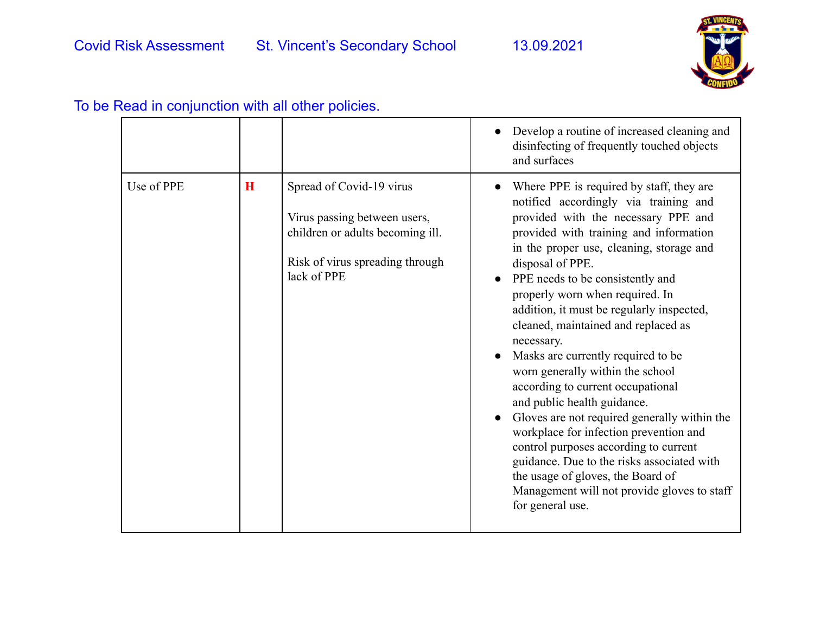

|            |             |                                                                                                                                                | Develop a routine of increased cleaning and<br>disinfecting of frequently touched objects<br>and surfaces                                                                                                                                                                                                                                                                                                                                                                                                                                                                                                                                                                                                                                                                                                                                          |
|------------|-------------|------------------------------------------------------------------------------------------------------------------------------------------------|----------------------------------------------------------------------------------------------------------------------------------------------------------------------------------------------------------------------------------------------------------------------------------------------------------------------------------------------------------------------------------------------------------------------------------------------------------------------------------------------------------------------------------------------------------------------------------------------------------------------------------------------------------------------------------------------------------------------------------------------------------------------------------------------------------------------------------------------------|
| Use of PPE | $\mathbf H$ | Spread of Covid-19 virus<br>Virus passing between users,<br>children or adults becoming ill.<br>Risk of virus spreading through<br>lack of PPE | Where PPE is required by staff, they are<br>notified accordingly via training and<br>provided with the necessary PPE and<br>provided with training and information<br>in the proper use, cleaning, storage and<br>disposal of PPE.<br>PPE needs to be consistently and<br>properly worn when required. In<br>addition, it must be regularly inspected,<br>cleaned, maintained and replaced as<br>necessary.<br>Masks are currently required to be<br>worn generally within the school<br>according to current occupational<br>and public health guidance.<br>Gloves are not required generally within the<br>workplace for infection prevention and<br>control purposes according to current<br>guidance. Due to the risks associated with<br>the usage of gloves, the Board of<br>Management will not provide gloves to staff<br>for general use. |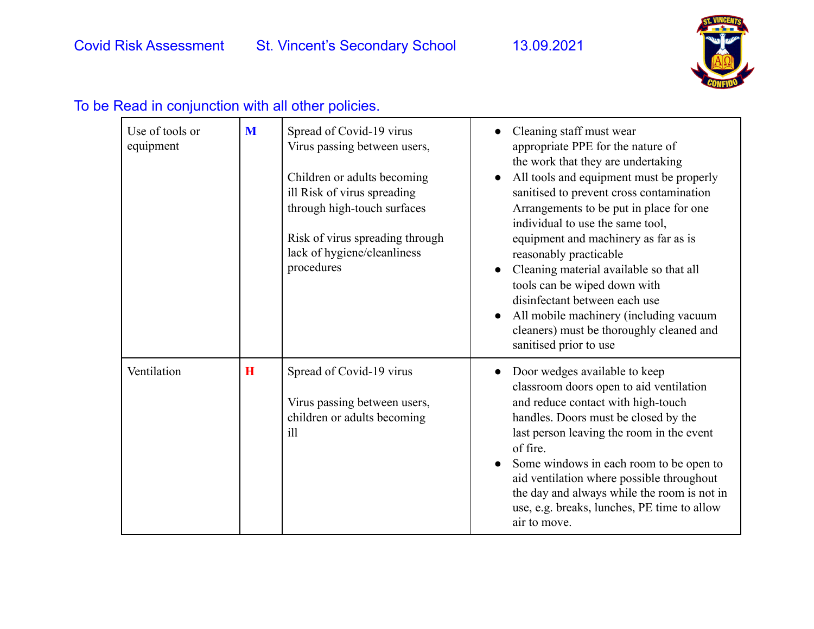

| Use of tools or<br>equipment | M        | Spread of Covid-19 virus<br>Virus passing between users,<br>Children or adults becoming<br>ill Risk of virus spreading<br>through high-touch surfaces<br>Risk of virus spreading through<br>lack of hygiene/cleanliness<br>procedures | Cleaning staff must wear<br>appropriate PPE for the nature of<br>the work that they are undertaking<br>All tools and equipment must be properly<br>sanitised to prevent cross contamination<br>Arrangements to be put in place for one<br>individual to use the same tool,<br>equipment and machinery as far as is<br>reasonably practicable<br>Cleaning material available so that all<br>$\bullet$<br>tools can be wiped down with<br>disinfectant between each use<br>All mobile machinery (including vacuum<br>cleaners) must be thoroughly cleaned and<br>sanitised prior to use |
|------------------------------|----------|---------------------------------------------------------------------------------------------------------------------------------------------------------------------------------------------------------------------------------------|---------------------------------------------------------------------------------------------------------------------------------------------------------------------------------------------------------------------------------------------------------------------------------------------------------------------------------------------------------------------------------------------------------------------------------------------------------------------------------------------------------------------------------------------------------------------------------------|
| Ventilation                  | $\bf{H}$ | Spread of Covid-19 virus<br>Virus passing between users,<br>children or adults becoming<br>ill                                                                                                                                        | Door wedges available to keep<br>classroom doors open to aid ventilation<br>and reduce contact with high-touch<br>handles. Doors must be closed by the<br>last person leaving the room in the event<br>of fire.<br>Some windows in each room to be open to<br>aid ventilation where possible throughout<br>the day and always while the room is not in<br>use, e.g. breaks, lunches, PE time to allow<br>air to move.                                                                                                                                                                 |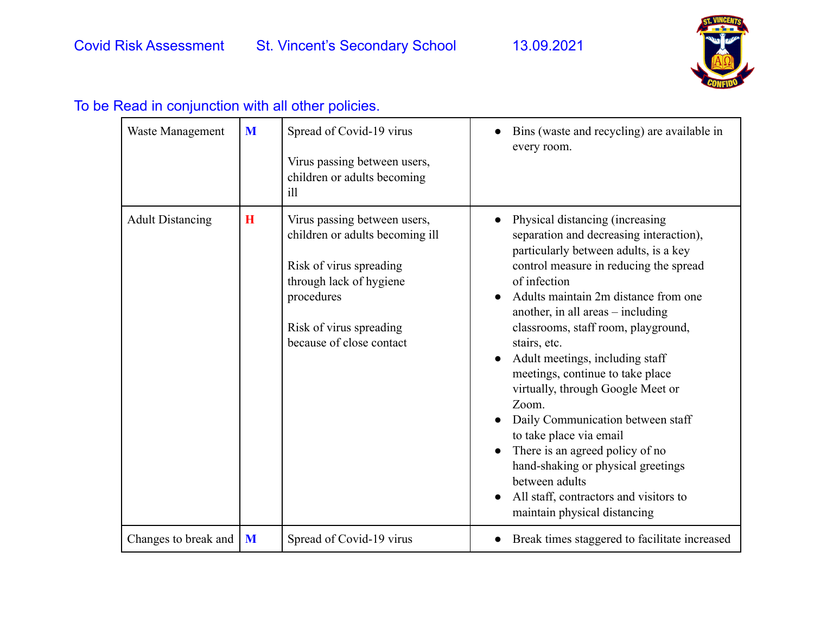

| Waste Management        | M       | Spread of Covid-19 virus<br>Virus passing between users,<br>children or adults becoming<br>i11                                                                                             | Bins (waste and recycling) are available in<br>every room.                                                                                                                                                                                                                                                                                                                                                                                                                                                                                                                                                                                                                                 |
|-------------------------|---------|--------------------------------------------------------------------------------------------------------------------------------------------------------------------------------------------|--------------------------------------------------------------------------------------------------------------------------------------------------------------------------------------------------------------------------------------------------------------------------------------------------------------------------------------------------------------------------------------------------------------------------------------------------------------------------------------------------------------------------------------------------------------------------------------------------------------------------------------------------------------------------------------------|
| <b>Adult Distancing</b> | $\bf H$ | Virus passing between users,<br>children or adults becoming ill<br>Risk of virus spreading<br>through lack of hygiene<br>procedures<br>Risk of virus spreading<br>because of close contact | Physical distancing (increasing<br>separation and decreasing interaction),<br>particularly between adults, is a key<br>control measure in reducing the spread<br>of infection<br>Adults maintain 2m distance from one<br>another, in all areas $-$ including<br>classrooms, staff room, playground,<br>stairs, etc.<br>Adult meetings, including staff<br>$\bullet$<br>meetings, continue to take place<br>virtually, through Google Meet or<br>Zoom.<br>Daily Communication between staff<br>to take place via email<br>There is an agreed policy of no<br>hand-shaking or physical greetings<br>between adults<br>All staff, contractors and visitors to<br>maintain physical distancing |
| Changes to break and    | M       | Spread of Covid-19 virus                                                                                                                                                                   | Break times staggered to facilitate increased                                                                                                                                                                                                                                                                                                                                                                                                                                                                                                                                                                                                                                              |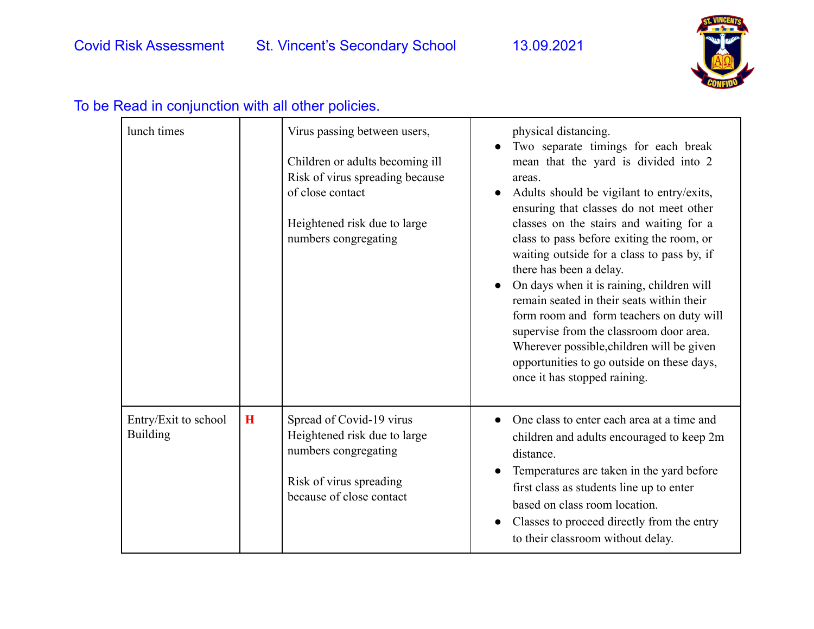

| lunch times                             |          | Virus passing between users,<br>Children or adults becoming ill<br>Risk of virus spreading because<br>of close contact<br>Heightened risk due to large<br>numbers congregating | physical distancing.<br>Two separate timings for each break<br>mean that the yard is divided into 2<br>areas.<br>Adults should be vigilant to entry/exits,<br>ensuring that classes do not meet other<br>classes on the stairs and waiting for a<br>class to pass before exiting the room, or<br>waiting outside for a class to pass by, if<br>there has been a delay.<br>On days when it is raining, children will<br>remain seated in their seats within their<br>form room and form teachers on duty will<br>supervise from the classroom door area.<br>Wherever possible, children will be given<br>opportunities to go outside on these days,<br>once it has stopped raining. |
|-----------------------------------------|----------|--------------------------------------------------------------------------------------------------------------------------------------------------------------------------------|------------------------------------------------------------------------------------------------------------------------------------------------------------------------------------------------------------------------------------------------------------------------------------------------------------------------------------------------------------------------------------------------------------------------------------------------------------------------------------------------------------------------------------------------------------------------------------------------------------------------------------------------------------------------------------|
| Entry/Exit to school<br><b>Building</b> | $\bf{H}$ | Spread of Covid-19 virus<br>Heightened risk due to large<br>numbers congregating<br>Risk of virus spreading<br>because of close contact                                        | One class to enter each area at a time and<br>$\bullet$<br>children and adults encouraged to keep 2m<br>distance.<br>Temperatures are taken in the yard before<br>first class as students line up to enter<br>based on class room location.<br>Classes to proceed directly from the entry<br>$\bullet$<br>to their classroom without delay.                                                                                                                                                                                                                                                                                                                                        |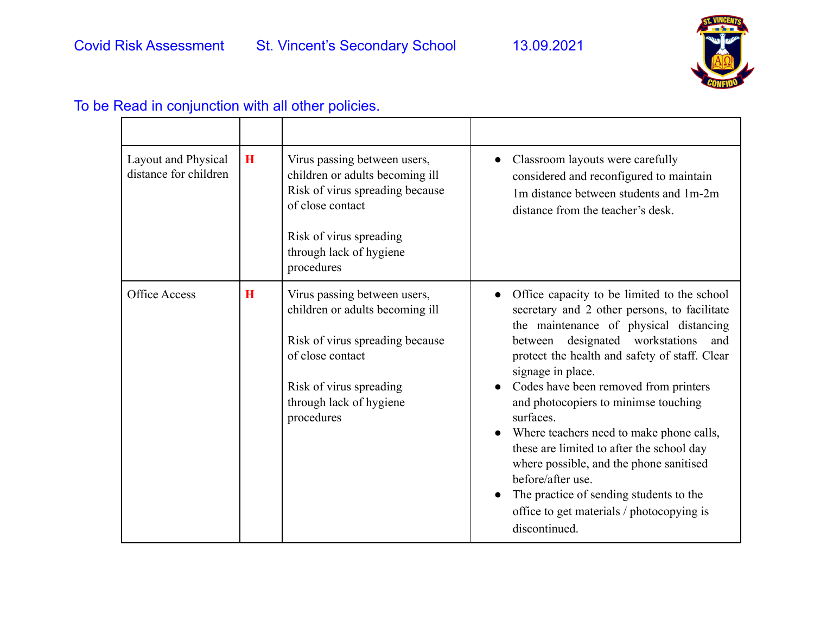

#### Layout and Physical distance for children **H** Virus passing between users, children or adults becoming ill Risk of virus spreading because of close contact Risk of virus spreading through lack of hygiene procedures • Classroom layouts were carefully considered and reconfigured to maintain 1m distance between students and 1m-2m distance from the teacher's desk. Office Access **H** Virus passing between users, children or adults becoming ill Risk of virus spreading because of close contact Risk of virus spreading through lack of hygiene procedures • Office capacity to be limited to the school secretary and 2 other persons, to facilitate the maintenance of physical distancing between designated workstations and protect the health and safety of staff. Clear signage in place. • Codes have been removed from printers and photocopiers to minimse touching surfaces. • Where teachers need to make phone calls, these are limited to after the school day where possible, and the phone sanitised before/after use. • The practice of sending students to the office to get materials / photocopying is discontinued.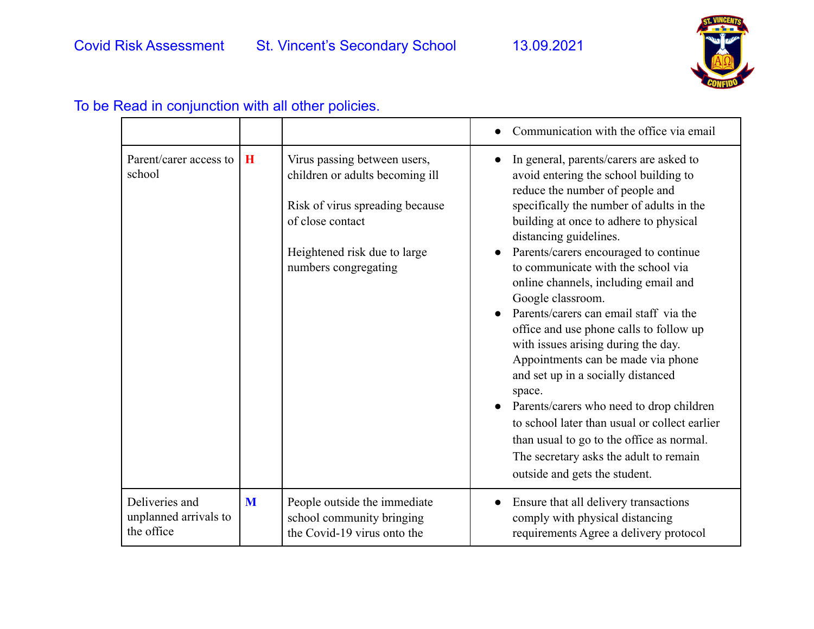

#### • Communication with the office via email Parent/carer access to  $\overline{H}$ school Virus passing between users, children or adults becoming ill Risk of virus spreading because of close contact Heightened risk due to large numbers congregating In general, parents/carers are asked to avoid entering the school building to reduce the number of people and specifically the number of adults in the building at once to adhere to physical distancing guidelines. ● Parents/carers encouraged to continue to communicate with the school via online channels, including email and Google classroom. ● Parents/carers can email staff via the office and use phone calls to follow up with issues arising during the day. Appointments can be made via phone and set up in a socially distanced space. Parents/carers who need to drop children to school later than usual or collect earlier than usual to go to the office as normal. The secretary asks the adult to remain outside and gets the student. Deliveries and unplanned arrivals to the office **M** People outside the immediate school community bringing the Covid-19 virus onto the ● Ensure that all delivery transactions comply with physical distancing requirements Agree a delivery protocol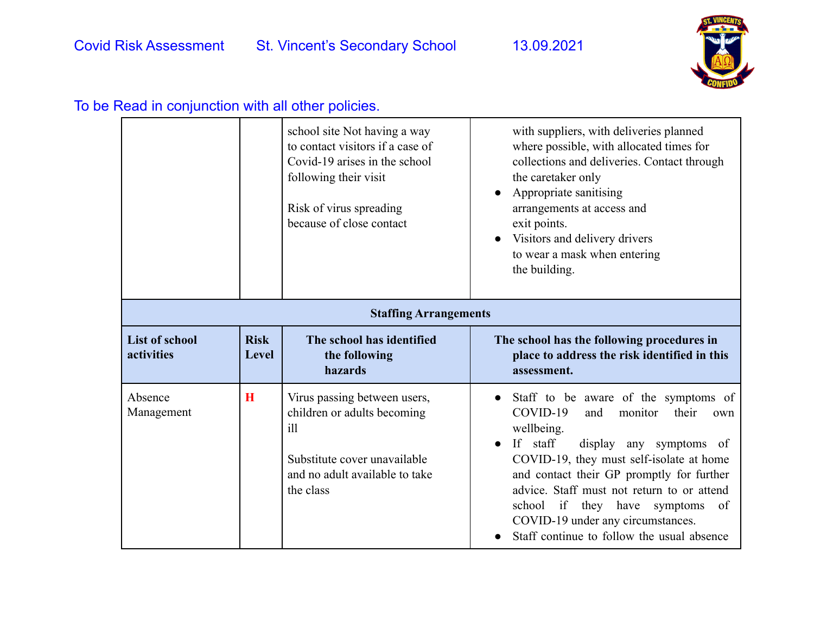

|                                     |                              | school site Not having a way<br>to contact visitors if a case of<br>Covid-19 arises in the school<br>following their visit<br>Risk of virus spreading<br>because of close contact | with suppliers, with deliveries planned<br>where possible, with allocated times for<br>collections and deliveries. Contact through<br>the caretaker only<br>Appropriate sanitising<br>arrangements at access and<br>exit points.<br>Visitors and delivery drivers<br>to wear a mask when entering<br>the building.                                                                                   |  |
|-------------------------------------|------------------------------|-----------------------------------------------------------------------------------------------------------------------------------------------------------------------------------|------------------------------------------------------------------------------------------------------------------------------------------------------------------------------------------------------------------------------------------------------------------------------------------------------------------------------------------------------------------------------------------------------|--|
|                                     | <b>Staffing Arrangements</b> |                                                                                                                                                                                   |                                                                                                                                                                                                                                                                                                                                                                                                      |  |
| <b>List of school</b><br>activities | <b>Risk</b><br><b>Level</b>  | The school has identified<br>the following<br>hazards                                                                                                                             | The school has the following procedures in<br>place to address the risk identified in this<br>assessment.                                                                                                                                                                                                                                                                                            |  |
| Absence<br>Management               | $\bf{H}$                     | Virus passing between users,<br>children or adults becoming<br>$i$ ll<br>Substitute cover unavailable<br>and no adult available to take<br>the class                              | Staff to be aware of the symptoms of<br>COVID-19<br>monitor<br>their<br>and<br>own<br>wellbeing.<br>If staff<br>display any symptoms of<br>COVID-19, they must self-isolate at home<br>and contact their GP promptly for further<br>advice. Staff must not return to or attend<br>school if they have symptoms of<br>COVID-19 under any circumstances.<br>Staff continue to follow the usual absence |  |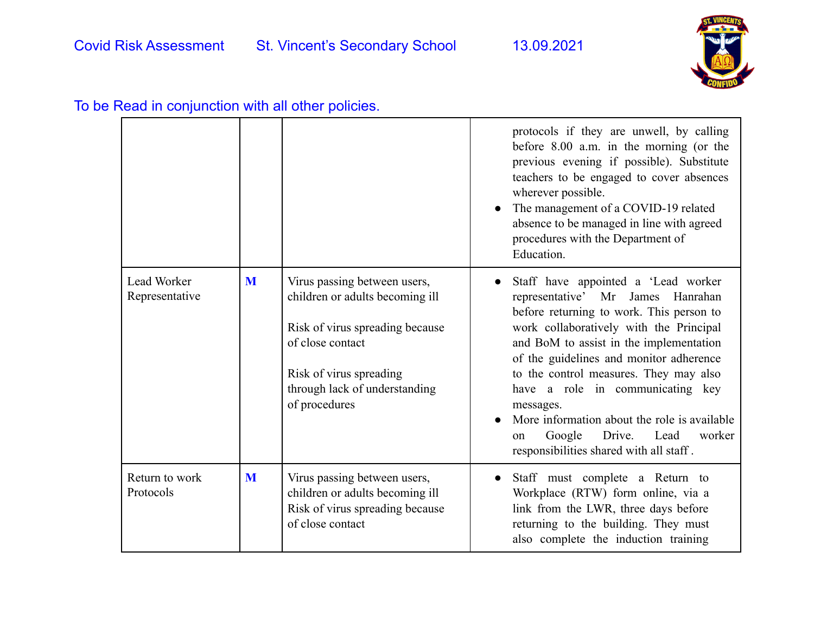

| To be Read in conjunction with all other policies. |  |  |
|----------------------------------------------------|--|--|
|----------------------------------------------------|--|--|

|                               |   |                                                                                                                                                                                                     | protocols if they are unwell, by calling<br>before $8.00$ a.m. in the morning (or the<br>previous evening if possible). Substitute<br>teachers to be engaged to cover absences<br>wherever possible.<br>The management of a COVID-19 related<br>absence to be managed in line with agreed<br>procedures with the Department of<br>Education.                                                                                                                                            |
|-------------------------------|---|-----------------------------------------------------------------------------------------------------------------------------------------------------------------------------------------------------|-----------------------------------------------------------------------------------------------------------------------------------------------------------------------------------------------------------------------------------------------------------------------------------------------------------------------------------------------------------------------------------------------------------------------------------------------------------------------------------------|
| Lead Worker<br>Representative | M | Virus passing between users,<br>children or adults becoming ill<br>Risk of virus spreading because<br>of close contact<br>Risk of virus spreading<br>through lack of understanding<br>of procedures | Staff have appointed a 'Lead worker<br>representative' Mr James Hanrahan<br>before returning to work. This person to<br>work collaboratively with the Principal<br>and BoM to assist in the implementation<br>of the guidelines and monitor adherence<br>to the control measures. They may also<br>have a role in communicating key<br>messages.<br>More information about the role is available<br>Google<br>Drive.<br>Lead<br>worker<br>on<br>responsibilities shared with all staff. |
| Return to work<br>Protocols   | M | Virus passing between users,<br>children or adults becoming ill<br>Risk of virus spreading because<br>of close contact                                                                              | Staff must complete a Return to<br>Workplace (RTW) form online, via a<br>link from the LWR, three days before<br>returning to the building. They must<br>also complete the induction training                                                                                                                                                                                                                                                                                           |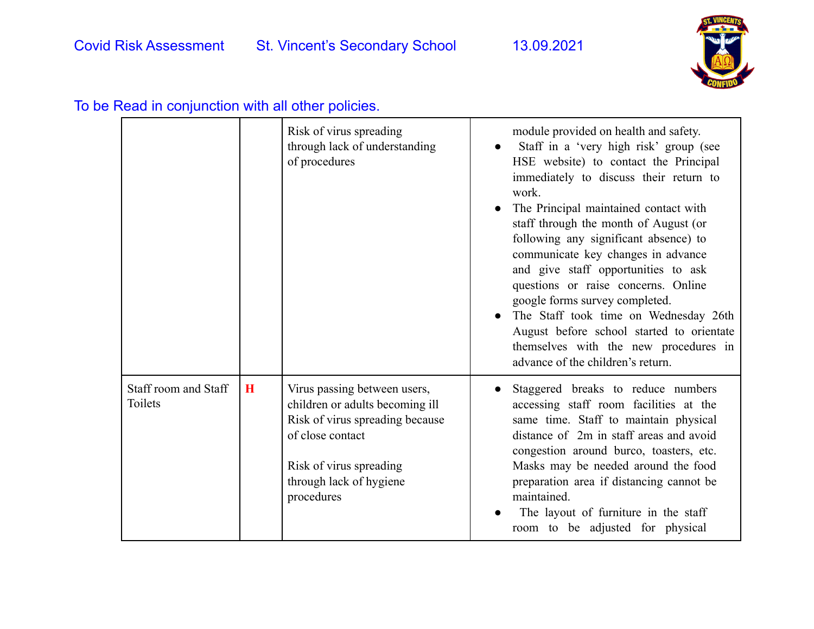

|                                 |   | Risk of virus spreading<br>through lack of understanding<br>of procedures                                                                                                                  | module provided on health and safety.<br>Staff in a 'very high risk' group (see<br>HSE website) to contact the Principal<br>immediately to discuss their return to<br>work.<br>The Principal maintained contact with<br>staff through the month of August (or<br>following any significant absence) to<br>communicate key changes in advance<br>and give staff opportunities to ask<br>questions or raise concerns. Online<br>google forms survey completed.<br>The Staff took time on Wednesday 26th<br>August before school started to orientate<br>themselves with the new procedures in<br>advance of the children's return. |
|---------------------------------|---|--------------------------------------------------------------------------------------------------------------------------------------------------------------------------------------------|----------------------------------------------------------------------------------------------------------------------------------------------------------------------------------------------------------------------------------------------------------------------------------------------------------------------------------------------------------------------------------------------------------------------------------------------------------------------------------------------------------------------------------------------------------------------------------------------------------------------------------|
| Staff room and Staff<br>Toilets | H | Virus passing between users,<br>children or adults becoming ill<br>Risk of virus spreading because<br>of close contact<br>Risk of virus spreading<br>through lack of hygiene<br>procedures | Staggered breaks to reduce numbers<br>accessing staff room facilities at the<br>same time. Staff to maintain physical<br>distance of 2m in staff areas and avoid<br>congestion around burco, toasters, etc.<br>Masks may be needed around the food<br>preparation area if distancing cannot be<br>maintained.<br>The layout of furniture in the staff<br>room to be adjusted for physical                                                                                                                                                                                                                                        |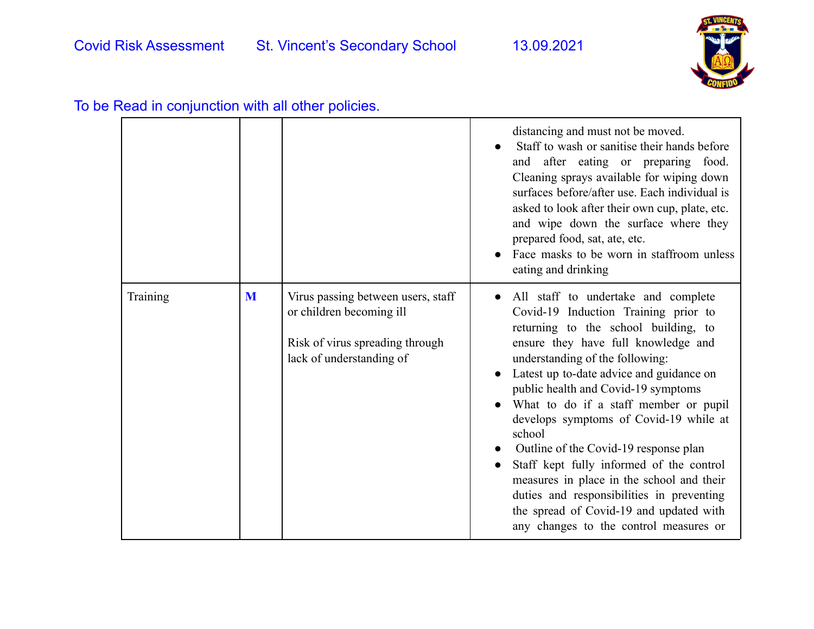

|          |   |                                                                                                                               | distancing and must not be moved.<br>Staff to wash or sanitise their hands before<br>and after eating or preparing food.<br>Cleaning sprays available for wiping down<br>surfaces before/after use. Each individual is<br>asked to look after their own cup, plate, etc.<br>and wipe down the surface where they<br>prepared food, sat, ate, etc.<br>Face masks to be worn in staffroom unless<br>eating and drinking                                                                                                                                                                                                                             |
|----------|---|-------------------------------------------------------------------------------------------------------------------------------|---------------------------------------------------------------------------------------------------------------------------------------------------------------------------------------------------------------------------------------------------------------------------------------------------------------------------------------------------------------------------------------------------------------------------------------------------------------------------------------------------------------------------------------------------------------------------------------------------------------------------------------------------|
| Training | M | Virus passing between users, staff<br>or children becoming ill<br>Risk of virus spreading through<br>lack of understanding of | All staff to undertake and complete<br>Covid-19 Induction Training prior to<br>returning to the school building, to<br>ensure they have full knowledge and<br>understanding of the following:<br>Latest up to-date advice and guidance on<br>public health and Covid-19 symptoms<br>What to do if a staff member or pupil<br>develops symptoms of Covid-19 while at<br>school<br>Outline of the Covid-19 response plan<br>Staff kept fully informed of the control<br>measures in place in the school and their<br>duties and responsibilities in preventing<br>the spread of Covid-19 and updated with<br>any changes to the control measures or |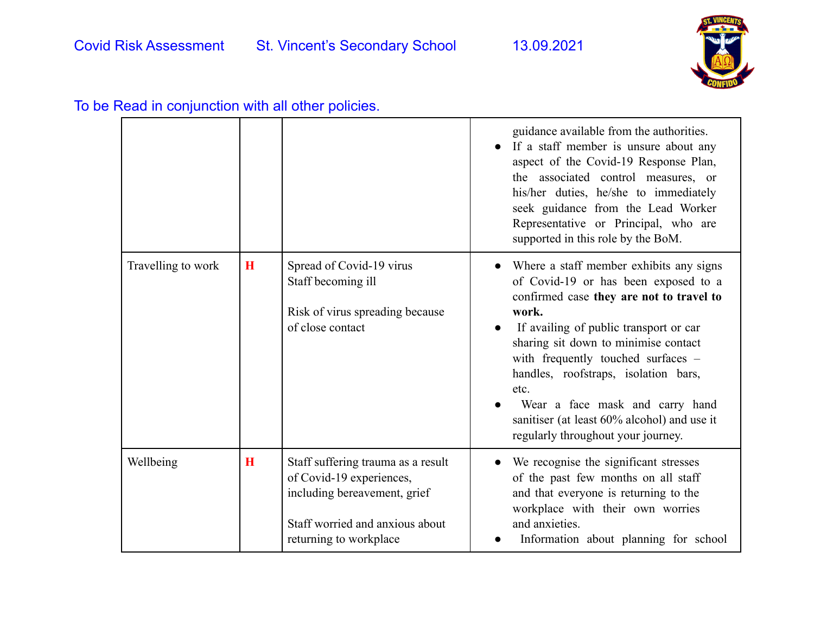

|                    |             |                                                                                                                                                             | guidance available from the authorities.<br>If a staff member is unsure about any<br>aspect of the Covid-19 Response Plan,<br>the associated control measures, or<br>his/her duties, he/she to immediately<br>seek guidance from the Lead Worker<br>Representative or Principal, who are<br>supported in this role by the BoM.                                                                                                       |
|--------------------|-------------|-------------------------------------------------------------------------------------------------------------------------------------------------------------|--------------------------------------------------------------------------------------------------------------------------------------------------------------------------------------------------------------------------------------------------------------------------------------------------------------------------------------------------------------------------------------------------------------------------------------|
| Travelling to work | $\mathbf H$ | Spread of Covid-19 virus<br>Staff becoming ill<br>Risk of virus spreading because<br>of close contact                                                       | Where a staff member exhibits any signs<br>of Covid-19 or has been exposed to a<br>confirmed case they are not to travel to<br>work.<br>If availing of public transport or car<br>sharing sit down to minimise contact<br>with frequently touched surfaces -<br>handles, roofstraps, isolation bars,<br>etc.<br>Wear a face mask and carry hand<br>sanitiser (at least 60% alcohol) and use it<br>regularly throughout your journey. |
| Wellbeing          | H           | Staff suffering trauma as a result<br>of Covid-19 experiences,<br>including bereavement, grief<br>Staff worried and anxious about<br>returning to workplace | We recognise the significant stresses<br>of the past few months on all staff<br>and that everyone is returning to the<br>workplace with their own worries<br>and anxieties.<br>Information about planning for school                                                                                                                                                                                                                 |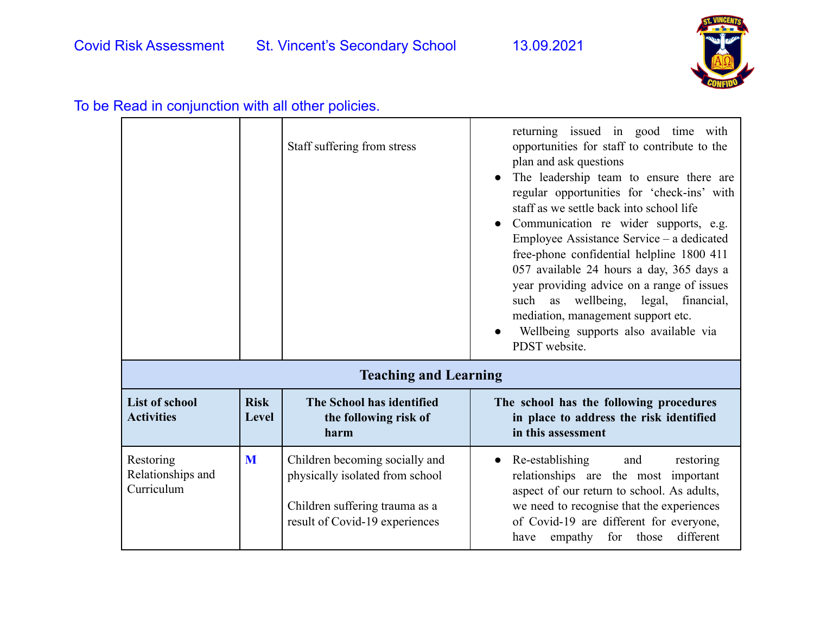

|                                              |                      | Staff suffering from stress                                                                                                           | returning issued in good time with<br>opportunities for staff to contribute to the<br>plan and ask questions<br>The leadership team to ensure there are<br>regular opportunities for 'check-ins' with<br>staff as we settle back into school life<br>Communication re wider supports, e.g.<br>Employee Assistance Service – a dedicated<br>free-phone confidential helpline 1800 411<br>057 available 24 hours a day, 365 days a<br>year providing advice on a range of issues<br>such as wellbeing, legal,<br>financial,<br>mediation, management support etc.<br>Wellbeing supports also available via<br>PDST website. |
|----------------------------------------------|----------------------|---------------------------------------------------------------------------------------------------------------------------------------|---------------------------------------------------------------------------------------------------------------------------------------------------------------------------------------------------------------------------------------------------------------------------------------------------------------------------------------------------------------------------------------------------------------------------------------------------------------------------------------------------------------------------------------------------------------------------------------------------------------------------|
|                                              |                      | <b>Teaching and Learning</b>                                                                                                          |                                                                                                                                                                                                                                                                                                                                                                                                                                                                                                                                                                                                                           |
| <b>List of school</b><br><b>Activities</b>   | <b>Risk</b><br>Level | The School has identified<br>the following risk of<br>harm                                                                            | The school has the following procedures<br>in place to address the risk identified<br>in this assessment                                                                                                                                                                                                                                                                                                                                                                                                                                                                                                                  |
| Restoring<br>Relationships and<br>Curriculum | M                    | Children becoming socially and<br>physically isolated from school<br>Children suffering trauma as a<br>result of Covid-19 experiences | Re-establishing<br>and<br>restoring<br>relationships are the most important<br>aspect of our return to school. As adults,<br>we need to recognise that the experiences<br>of Covid-19 are different for everyone,<br>for those<br>different<br>empathy<br>have                                                                                                                                                                                                                                                                                                                                                            |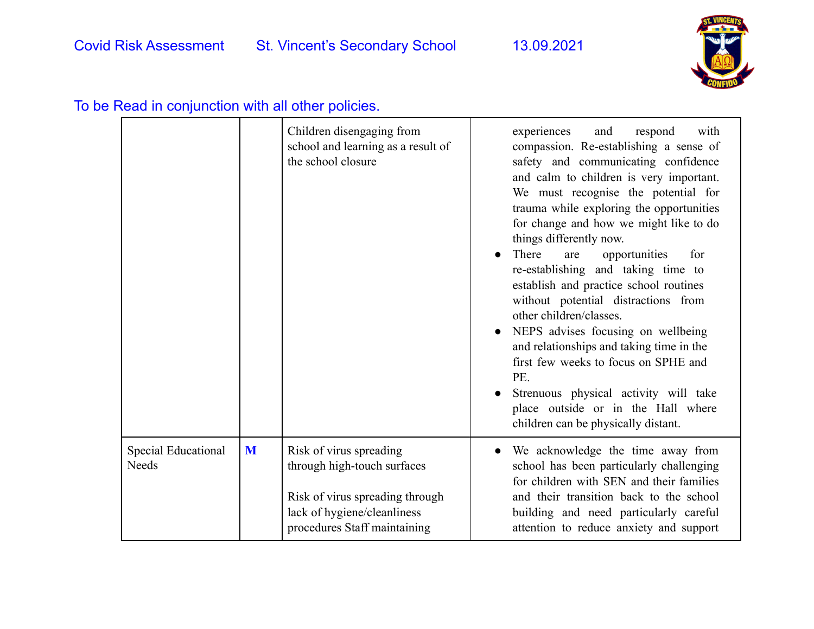

|                                     |   | Children disengaging from<br>school and learning as a result of<br>the school closure                                                                    | experiences<br>and<br>respond<br>with<br>compassion. Re-establishing a sense of<br>safety and communicating confidence<br>and calm to children is very important.<br>We must recognise the potential for<br>trauma while exploring the opportunities<br>for change and how we might like to do<br>things differently now.<br>There<br>opportunities<br>for<br>are<br>re-establishing and taking time to<br>establish and practice school routines<br>without potential distractions from<br>other children/classes.<br>NEPS advises focusing on wellbeing<br>and relationships and taking time in the<br>first few weeks to focus on SPHE and<br>PE.<br>Strenuous physical activity will take<br>place outside or in the Hall where<br>children can be physically distant. |
|-------------------------------------|---|----------------------------------------------------------------------------------------------------------------------------------------------------------|----------------------------------------------------------------------------------------------------------------------------------------------------------------------------------------------------------------------------------------------------------------------------------------------------------------------------------------------------------------------------------------------------------------------------------------------------------------------------------------------------------------------------------------------------------------------------------------------------------------------------------------------------------------------------------------------------------------------------------------------------------------------------|
| Special Educational<br><b>Needs</b> | M | Risk of virus spreading<br>through high-touch surfaces<br>Risk of virus spreading through<br>lack of hygiene/cleanliness<br>procedures Staff maintaining | We acknowledge the time away from<br>school has been particularly challenging<br>for children with SEN and their families<br>and their transition back to the school<br>building and need particularly careful<br>attention to reduce anxiety and support                                                                                                                                                                                                                                                                                                                                                                                                                                                                                                                  |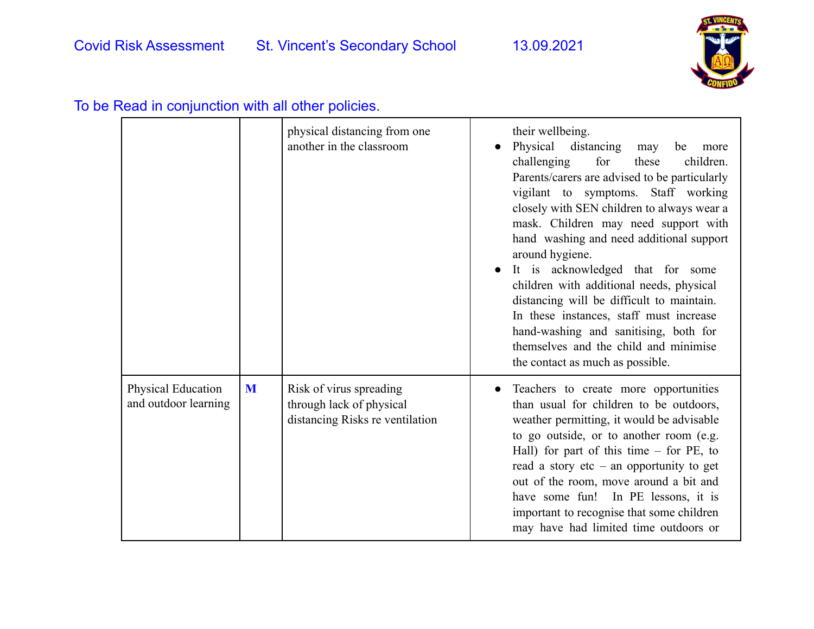

|                                            |   | physical distancing from one<br>another in the classroom                               | $\bullet$ | their wellbeing.<br>Physical distancing<br>may<br>be<br>more<br>challenging<br>for<br>children.<br>these<br>Parents/carers are advised to be particularly<br>vigilant to symptoms. Staff working<br>closely with SEN children to always wear a<br>mask. Children may need support with<br>hand washing and need additional support<br>around hygiene.<br>It is acknowledged that for some<br>children with additional needs, physical<br>distancing will be difficult to maintain.<br>In these instances, staff must increase<br>hand-washing and sanitising, both for<br>themselves and the child and minimise<br>the contact as much as possible. |
|--------------------------------------------|---|----------------------------------------------------------------------------------------|-----------|-----------------------------------------------------------------------------------------------------------------------------------------------------------------------------------------------------------------------------------------------------------------------------------------------------------------------------------------------------------------------------------------------------------------------------------------------------------------------------------------------------------------------------------------------------------------------------------------------------------------------------------------------------|
| Physical Education<br>and outdoor learning | M | Risk of virus spreading<br>through lack of physical<br>distancing Risks re ventilation |           | Teachers to create more opportunities<br>than usual for children to be outdoors,<br>weather permitting, it would be advisable<br>to go outside, or to another room (e.g.<br>Hall) for part of this time $-$ for PE, to<br>read a story etc – an opportunity to get<br>out of the room, move around a bit and<br>have some fun! In PE lessons, it is<br>important to recognise that some children<br>may have had limited time outdoors or                                                                                                                                                                                                           |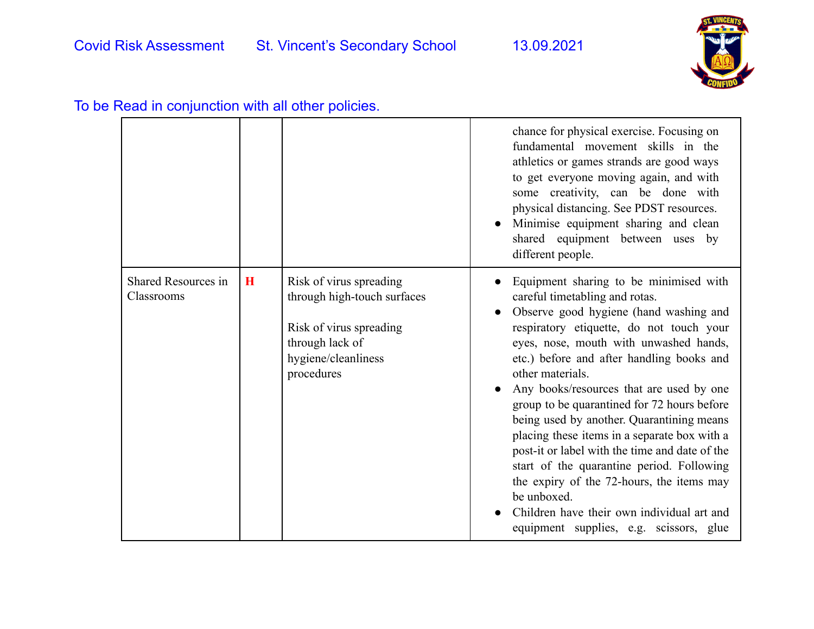

| To be Read in conjunction with all other policies. |  |  |  |  |  |  |  |
|----------------------------------------------------|--|--|--|--|--|--|--|
|----------------------------------------------------|--|--|--|--|--|--|--|

|                                   |   |                                                                                                                                           | chance for physical exercise. Focusing on<br>fundamental movement skills in the<br>athletics or games strands are good ways<br>to get everyone moving again, and with<br>some creativity, can be done with<br>physical distancing. See PDST resources.<br>Minimise equipment sharing and clean<br>shared equipment between uses by<br>different people.                                                                                                                                                                                                                                                                                                                                                               |
|-----------------------------------|---|-------------------------------------------------------------------------------------------------------------------------------------------|-----------------------------------------------------------------------------------------------------------------------------------------------------------------------------------------------------------------------------------------------------------------------------------------------------------------------------------------------------------------------------------------------------------------------------------------------------------------------------------------------------------------------------------------------------------------------------------------------------------------------------------------------------------------------------------------------------------------------|
| Shared Resources in<br>Classrooms | H | Risk of virus spreading<br>through high-touch surfaces<br>Risk of virus spreading<br>through lack of<br>hygiene/cleanliness<br>procedures | Equipment sharing to be minimised with<br>careful timetabling and rotas.<br>Observe good hygiene (hand washing and<br>respiratory etiquette, do not touch your<br>eyes, nose, mouth with unwashed hands,<br>etc.) before and after handling books and<br>other materials.<br>Any books/resources that are used by one<br>group to be quarantined for 72 hours before<br>being used by another. Quarantining means<br>placing these items in a separate box with a<br>post-it or label with the time and date of the<br>start of the quarantine period. Following<br>the expiry of the 72-hours, the items may<br>be unboxed.<br>Children have their own individual art and<br>equipment supplies, e.g. scissors, glue |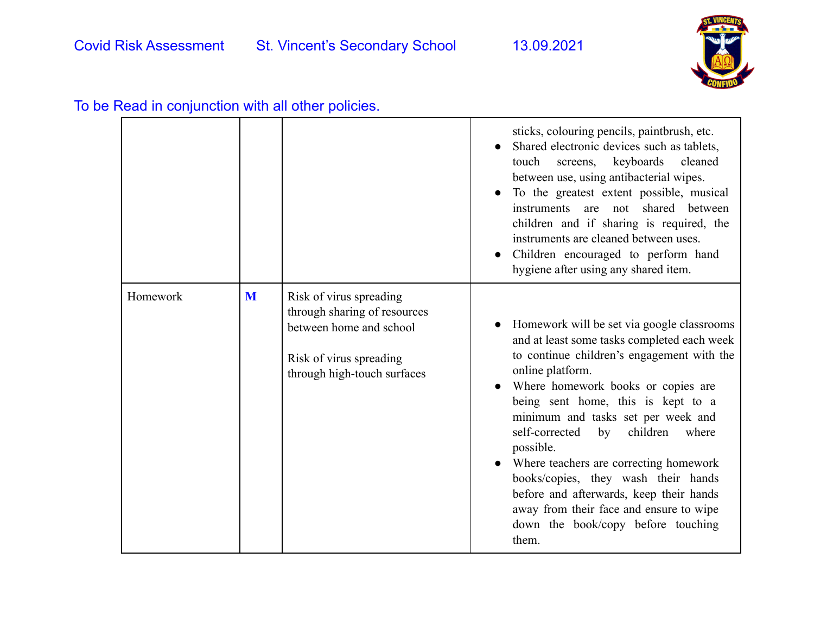

|          |   |                                                                                                                                              | sticks, colouring pencils, paintbrush, etc.<br>Shared electronic devices such as tablets,<br>touch screens, keyboards cleaned<br>between use, using antibacterial wipes.<br>To the greatest extent possible, musical<br>instruments are not shared between<br>children and if sharing is required, the<br>instruments are cleaned between uses.<br>Children encouraged to perform hand<br>hygiene after using any shared item.                                                                                                                                |
|----------|---|----------------------------------------------------------------------------------------------------------------------------------------------|---------------------------------------------------------------------------------------------------------------------------------------------------------------------------------------------------------------------------------------------------------------------------------------------------------------------------------------------------------------------------------------------------------------------------------------------------------------------------------------------------------------------------------------------------------------|
| Homework | M | Risk of virus spreading<br>through sharing of resources<br>between home and school<br>Risk of virus spreading<br>through high-touch surfaces | Homework will be set via google classrooms<br>and at least some tasks completed each week<br>to continue children's engagement with the<br>online platform.<br>Where homework books or copies are<br>being sent home, this is kept to a<br>minimum and tasks set per week and<br>self-corrected<br>children<br>where<br>by<br>possible.<br>Where teachers are correcting homework<br>books/copies, they wash their hands<br>before and afterwards, keep their hands<br>away from their face and ensure to wipe<br>down the book/copy before touching<br>them. |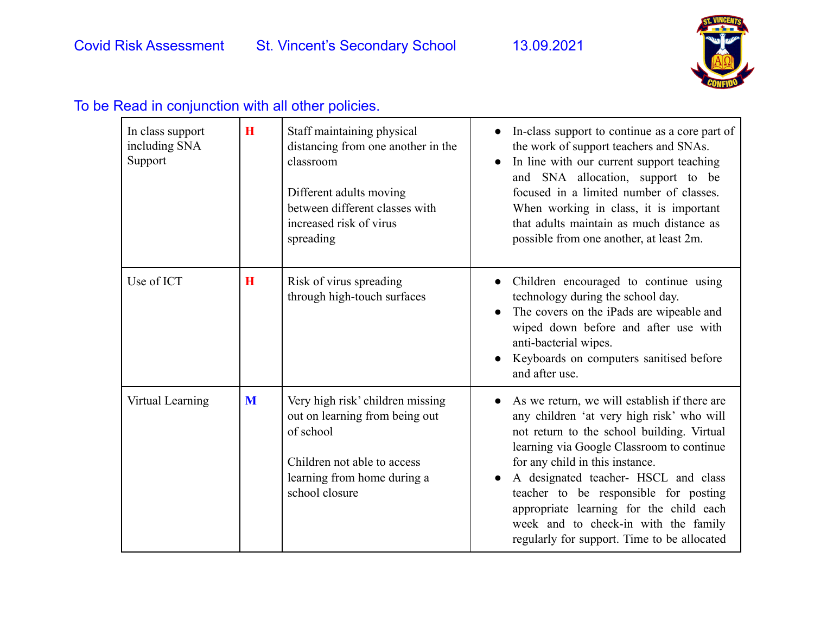

| In class support<br>including SNA<br>Support | $\bf{H}$ | Staff maintaining physical<br>distancing from one another in the<br>classroom<br>Different adults moving<br>between different classes with<br>increased risk of virus<br>spreading | In-class support to continue as a core part of<br>$\bullet$<br>the work of support teachers and SNAs.<br>In line with our current support teaching<br>$\bullet$<br>and SNA allocation, support to be<br>focused in a limited number of classes.<br>When working in class, it is important<br>that adults maintain as much distance as<br>possible from one another, at least 2m.                                                           |
|----------------------------------------------|----------|------------------------------------------------------------------------------------------------------------------------------------------------------------------------------------|--------------------------------------------------------------------------------------------------------------------------------------------------------------------------------------------------------------------------------------------------------------------------------------------------------------------------------------------------------------------------------------------------------------------------------------------|
| Use of ICT                                   | $\bf H$  | Risk of virus spreading<br>through high-touch surfaces                                                                                                                             | Children encouraged to continue using<br>$\bullet$<br>technology during the school day.<br>The covers on the iPads are wipeable and<br>wiped down before and after use with<br>anti-bacterial wipes.<br>Keyboards on computers sanitised before<br>and after use.                                                                                                                                                                          |
| Virtual Learning                             | M        | Very high risk' children missing<br>out on learning from being out<br>of school<br>Children not able to access<br>learning from home during a<br>school closure                    | As we return, we will establish if there are<br>any children 'at very high risk' who will<br>not return to the school building. Virtual<br>learning via Google Classroom to continue<br>for any child in this instance.<br>A designated teacher- HSCL and class<br>teacher to be responsible for posting<br>appropriate learning for the child each<br>week and to check-in with the family<br>regularly for support. Time to be allocated |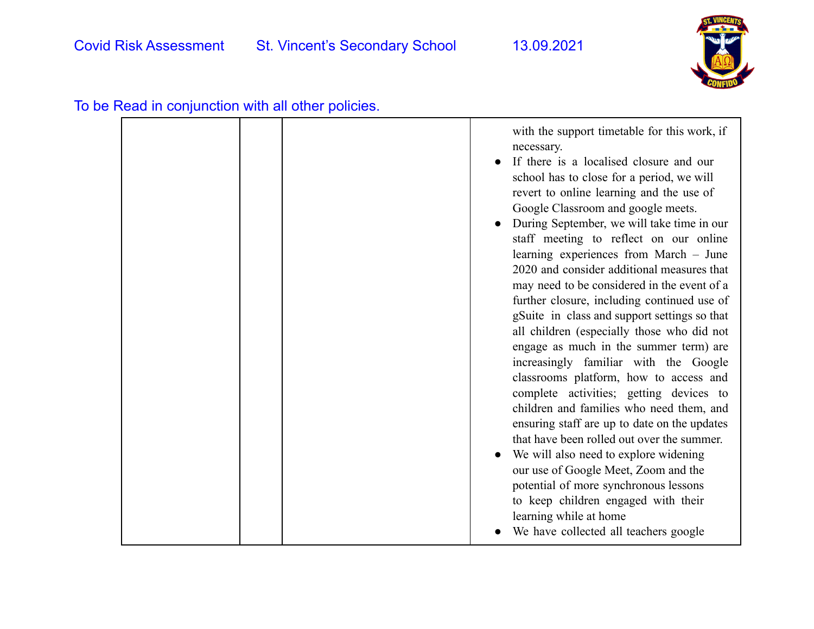

| To be Read in conjunction with all other policies. |  |  |
|----------------------------------------------------|--|--|
|----------------------------------------------------|--|--|

|  | with the support timetable for this work, if<br>necessary.<br>If there is a localised closure and our<br>school has to close for a period, we will<br>revert to online learning and the use of<br>Google Classroom and google meets.<br>During September, we will take time in our<br>staff meeting to reflect on our online<br>learning experiences from March - June<br>2020 and consider additional measures that<br>may need to be considered in the event of a<br>further closure, including continued use of<br>gSuite in class and support settings so that<br>all children (especially those who did not<br>engage as much in the summer term) are<br>increasingly familiar with the Google<br>classrooms platform, how to access and<br>complete activities; getting devices to<br>children and families who need them, and<br>ensuring staff are up to date on the updates<br>that have been rolled out over the summer.<br>We will also need to explore widening<br>our use of Google Meet, Zoom and the<br>potential of more synchronous lessons<br>to keep children engaged with their |
|--|-----------------------------------------------------------------------------------------------------------------------------------------------------------------------------------------------------------------------------------------------------------------------------------------------------------------------------------------------------------------------------------------------------------------------------------------------------------------------------------------------------------------------------------------------------------------------------------------------------------------------------------------------------------------------------------------------------------------------------------------------------------------------------------------------------------------------------------------------------------------------------------------------------------------------------------------------------------------------------------------------------------------------------------------------------------------------------------------------------|
|  | learning while at home<br>We have collected all teachers google                                                                                                                                                                                                                                                                                                                                                                                                                                                                                                                                                                                                                                                                                                                                                                                                                                                                                                                                                                                                                                     |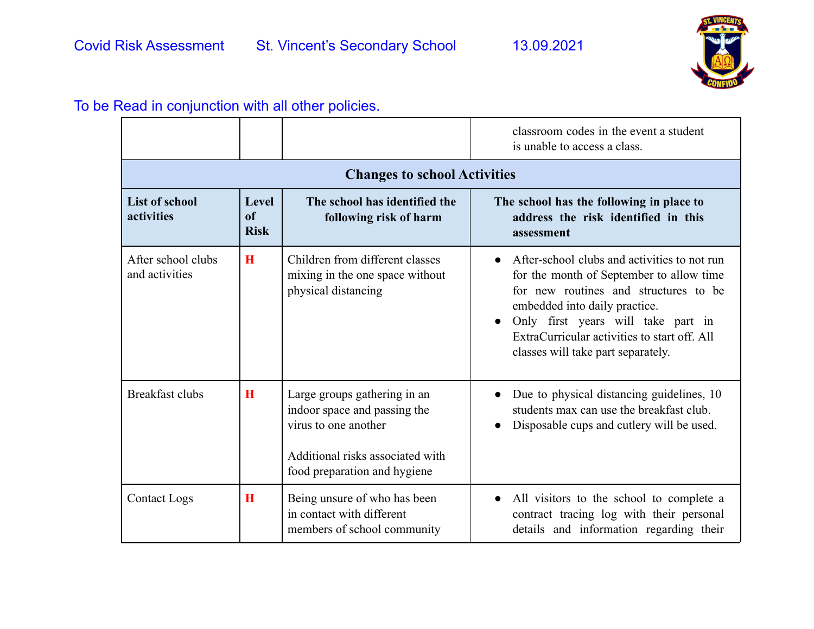

|                                      |                                   |                                                                                                                                                          | classroom codes in the event a student<br>is unable to access a class.                                                                                                                                                                                                                         |
|--------------------------------------|-----------------------------------|----------------------------------------------------------------------------------------------------------------------------------------------------------|------------------------------------------------------------------------------------------------------------------------------------------------------------------------------------------------------------------------------------------------------------------------------------------------|
|                                      |                                   | <b>Changes to school Activities</b>                                                                                                                      |                                                                                                                                                                                                                                                                                                |
| <b>List of school</b><br>activities  | <b>Level</b><br>of<br><b>Risk</b> | The school has identified the<br>following risk of harm                                                                                                  | The school has the following in place to<br>address the risk identified in this<br>assessment                                                                                                                                                                                                  |
| After school clubs<br>and activities | H                                 | Children from different classes<br>mixing in the one space without<br>physical distancing                                                                | After-school clubs and activities to not run<br>for the month of September to allow time<br>for new routines and structures to be<br>embedded into daily practice.<br>Only first years will take part in<br>ExtraCurricular activities to start off. All<br>classes will take part separately. |
| <b>Breakfast clubs</b>               | H                                 | Large groups gathering in an<br>indoor space and passing the<br>virus to one another<br>Additional risks associated with<br>food preparation and hygiene | Due to physical distancing guidelines, 10<br>students max can use the breakfast club.<br>Disposable cups and cutlery will be used.                                                                                                                                                             |
| <b>Contact Logs</b>                  | H                                 | Being unsure of who has been<br>in contact with different<br>members of school community                                                                 | All visitors to the school to complete a<br>$\bullet$<br>contract tracing log with their personal<br>details and information regarding their                                                                                                                                                   |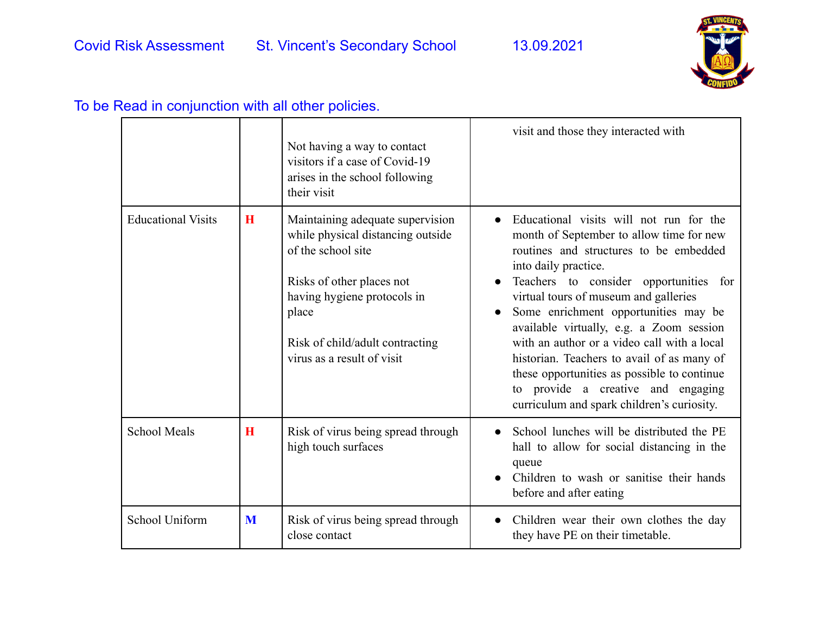

|                           |   | Not having a way to contact<br>visitors if a case of Covid-19<br>arises in the school following<br>their visit                                                                                                                    | visit and those they interacted with                                                                                                                                                                                                                                                                                                                                                                                                                                                                                                                                      |
|---------------------------|---|-----------------------------------------------------------------------------------------------------------------------------------------------------------------------------------------------------------------------------------|---------------------------------------------------------------------------------------------------------------------------------------------------------------------------------------------------------------------------------------------------------------------------------------------------------------------------------------------------------------------------------------------------------------------------------------------------------------------------------------------------------------------------------------------------------------------------|
| <b>Educational Visits</b> | H | Maintaining adequate supervision<br>while physical distancing outside<br>of the school site<br>Risks of other places not<br>having hygiene protocols in<br>place<br>Risk of child/adult contracting<br>virus as a result of visit | Educational visits will not run for the<br>month of September to allow time for new<br>routines and structures to be embedded<br>into daily practice.<br>Teachers to consider opportunities for<br>virtual tours of museum and galleries<br>Some enrichment opportunities may be<br>$\bullet$<br>available virtually, e.g. a Zoom session<br>with an author or a video call with a local<br>historian. Teachers to avail of as many of<br>these opportunities as possible to continue<br>to provide a creative and engaging<br>curriculum and spark children's curiosity. |
| <b>School Meals</b>       | H | Risk of virus being spread through<br>high touch surfaces                                                                                                                                                                         | School lunches will be distributed the PE<br>$\bullet$<br>hall to allow for social distancing in the<br>queue<br>Children to wash or sanitise their hands<br>before and after eating                                                                                                                                                                                                                                                                                                                                                                                      |
| School Uniform            | M | Risk of virus being spread through<br>close contact                                                                                                                                                                               | Children wear their own clothes the day<br>$\bullet$<br>they have PE on their timetable.                                                                                                                                                                                                                                                                                                                                                                                                                                                                                  |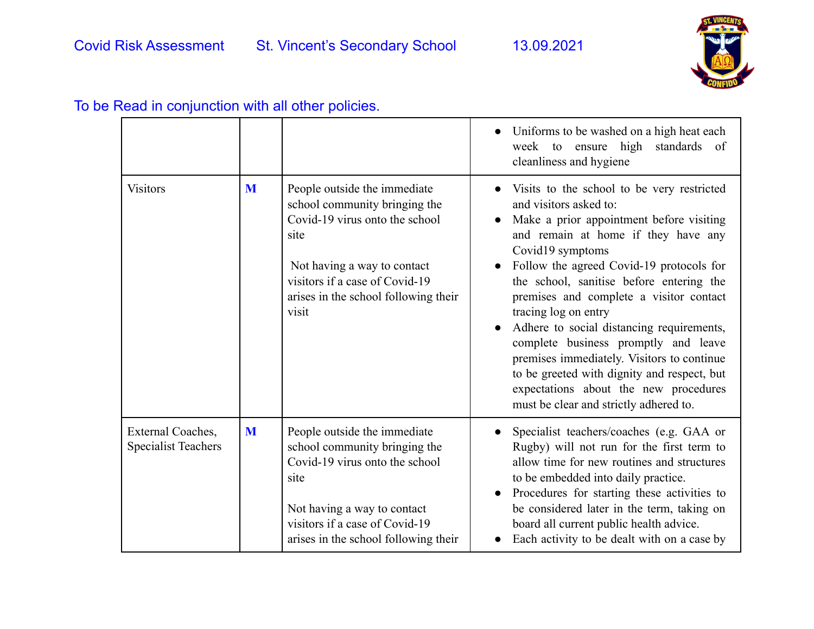

|                                                 |   |                                                                                                                                                                                                                           | Uniforms to be washed on a high heat each<br>week to ensure high standards of<br>cleanliness and hygiene                                                                                                                                                                                                                                                                                                                                                                                                                                                                                                    |
|-------------------------------------------------|---|---------------------------------------------------------------------------------------------------------------------------------------------------------------------------------------------------------------------------|-------------------------------------------------------------------------------------------------------------------------------------------------------------------------------------------------------------------------------------------------------------------------------------------------------------------------------------------------------------------------------------------------------------------------------------------------------------------------------------------------------------------------------------------------------------------------------------------------------------|
| <b>Visitors</b>                                 | M | People outside the immediate<br>school community bringing the<br>Covid-19 virus onto the school<br>site<br>Not having a way to contact<br>visitors if a case of Covid-19<br>arises in the school following their<br>visit | Visits to the school to be very restricted<br>and visitors asked to:<br>Make a prior appointment before visiting<br>and remain at home if they have any<br>Covid19 symptoms<br>Follow the agreed Covid-19 protocols for<br>the school, sanitise before entering the<br>premises and complete a visitor contact<br>tracing log on entry<br>Adhere to social distancing requirements,<br>complete business promptly and leave<br>premises immediately. Visitors to continue<br>to be greeted with dignity and respect, but<br>expectations about the new procedures<br>must be clear and strictly adhered to. |
| External Coaches,<br><b>Specialist Teachers</b> | M | People outside the immediate<br>school community bringing the<br>Covid-19 virus onto the school<br>site<br>Not having a way to contact<br>visitors if a case of Covid-19<br>arises in the school following their          | Specialist teachers/coaches (e.g. GAA or<br>Rugby) will not run for the first term to<br>allow time for new routines and structures<br>to be embedded into daily practice.<br>Procedures for starting these activities to<br>be considered later in the term, taking on<br>board all current public health advice.<br>Each activity to be dealt with on a case by                                                                                                                                                                                                                                           |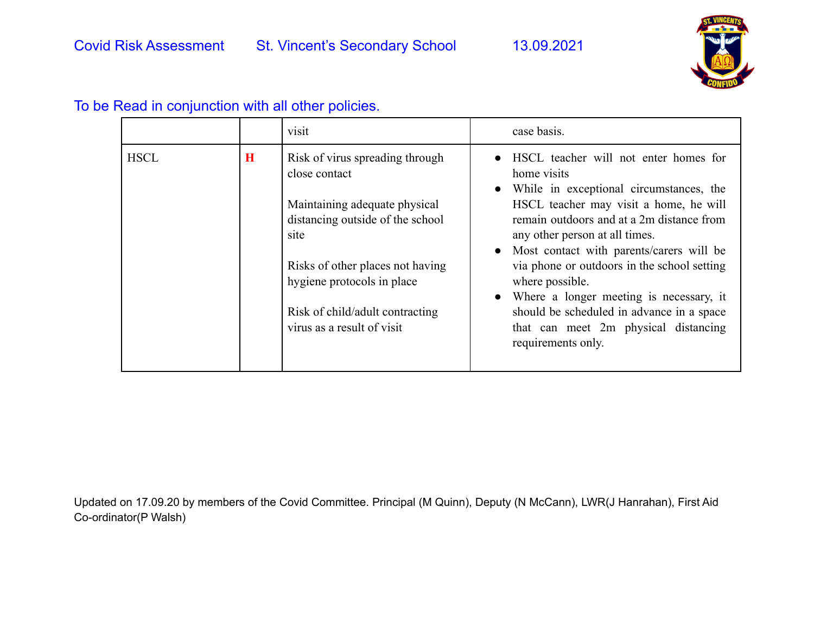

|             |         | visit                                                                                                                                                                                                                                                            | case basis.                                                                                                                                                                                                                                                                                                                                                                                                                                                                                                              |
|-------------|---------|------------------------------------------------------------------------------------------------------------------------------------------------------------------------------------------------------------------------------------------------------------------|--------------------------------------------------------------------------------------------------------------------------------------------------------------------------------------------------------------------------------------------------------------------------------------------------------------------------------------------------------------------------------------------------------------------------------------------------------------------------------------------------------------------------|
| <b>HSCL</b> | $\bf H$ | Risk of virus spreading through<br>close contact<br>Maintaining adequate physical<br>distancing outside of the school<br>site<br>Risks of other places not having<br>hygiene protocols in place<br>Risk of child/adult contracting<br>virus as a result of visit | HSCL teacher will not enter homes for<br>home visits<br>While in exceptional circumstances, the<br>$\bullet$<br>HSCL teacher may visit a home, he will<br>remain outdoors and at a 2m distance from<br>any other person at all times.<br>• Most contact with parents/carers will be<br>via phone or outdoors in the school setting<br>where possible.<br>Where a longer meeting is necessary, it<br>$\bullet$<br>should be scheduled in advance in a space<br>that can meet 2m physical distancing<br>requirements only. |

Updated on 17.09.20 by members of the Covid Committee. Principal (M Quinn), Deputy (N McCann), LWR(J Hanrahan), First Aid Co-ordinator(P Walsh)